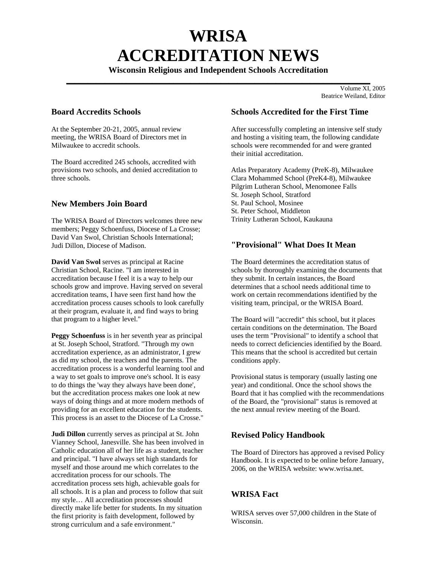# **WRISA ACCREDITATION NEWS**

**Wisconsin Religious and Independent Schools Accreditation** 

**\_\_\_\_\_\_\_\_\_\_\_\_\_\_\_\_\_\_\_\_\_\_\_\_\_\_\_\_\_\_\_\_\_\_\_\_\_\_\_\_\_\_\_\_\_\_\_\_\_\_\_\_\_\_\_\_\_\_\_\_\_\_\_\_\_\_\_\_\_\_\_**  $\overline{\text{Volume XI}}$ , 2005 Beatrice Weiland, Editor

# **Board Accredits Schools**

At the September 20-21, 2005, annual review meeting, the WRISA Board of Directors met in Milwaukee to accredit schools.

The Board accredited 245 schools, accredited with provisions two schools, and denied accreditation to three schools.

# **New Members Join Board**

The WRISA Board of Directors welcomes three new members; Peggy Schoenfuss, Diocese of La Crosse; David Van Swol, Christian Schools International; Judi Dillon, Diocese of Madison.

**David Van Swol** serves as principal at Racine Christian School, Racine. "I am interested in accreditation because I feel it is a way to help our schools grow and improve. Having served on several accreditation teams, I have seen first hand how the accreditation process causes schools to look carefully at their program, evaluate it, and find ways to bring that program to a higher level."

**Peggy Schoenfuss** is in her seventh year as principal at St. Joseph School, Stratford. "Through my own accreditation experience, as an administrator, I grew as did my school, the teachers and the parents. The accreditation process is a wonderful learning tool and a way to set goals to improve one's school. It is easy to do things the 'way they always have been done', but the accreditation process makes one look at new ways of doing things and at more modern methods of providing for an excellent education for the students. This process is an asset to the Diocese of La Crosse."

**Judi Dillon** currently serves as principal at St. John Vianney School, Janesville. She has been involved in Catholic education all of her life as a student, teacher and principal. "I have always set high standards for myself and those around me which correlates to the accreditation process for our schools. The accreditation process sets high, achievable goals for all schools. It is a plan and process to follow that suit my style… All accreditation processes should directly make life better for students. In my situation the first priority is faith development, followed by strong curriculum and a safe environment."

## **Schools Accredited for the First Time**

After successfully completing an intensive self study and hosting a visiting team, the following candidate schools were recommended for and were granted their initial accreditation.

Atlas Preparatory Academy (PreK-8), Milwaukee Clara Mohammed School (PreK4-8), Milwaukee Pilgrim Lutheran School, Menomonee Falls St. Joseph School, Stratford St. Paul School, Mosinee St. Peter School, Middleton Trinity Lutheran School, Kaukauna

# **"Provisional" What Does It Mean**

The Board determines the accreditation status of schools by thoroughly examining the documents that they submit. In certain instances, the Board determines that a school needs additional time to work on certain recommendations identified by the visiting team, principal, or the WRISA Board.

The Board will "accredit" this school, but it places certain conditions on the determination. The Board uses the term "Provisional" to identify a school that needs to correct deficiencies identified by the Board. This means that the school is accredited but certain conditions apply.

Provisional status is temporary (usually lasting one year) and conditional. Once the school shows the Board that it has complied with the recommendations of the Board, the "provisional" status is removed at the next annual review meeting of the Board.

# **Revised Policy Handbook**

The Board of Directors has approved a revised Policy Handbook. It is expected to be online before January, 2006, on the WRISA website: www.wrisa.net.

# **WRISA Fact**

WRISA serves over 57,000 children in the State of Wisconsin.